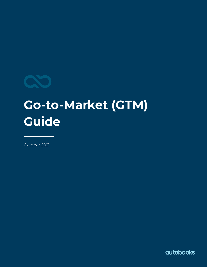

# **Go-to-Market (GTM) Guide**

October 2021

**autobooks**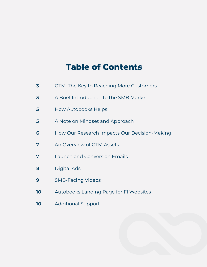# **Table of Contents**

| 3  | GTM: The Key to Reaching More Customers      |
|----|----------------------------------------------|
| 3  | A Brief Introduction to the SMB Market       |
| 5  | How Autobooks Helps                          |
| 5  | A Note on Mindset and Approach               |
| 6  | How Our Research Impacts Our Decision-Making |
| 7  | An Overview of GTM Assets                    |
| 7  | <b>Launch and Conversion Emails</b>          |
| 8  | Digital Ads                                  |
| 9  | <b>SMB-Facing Videos</b>                     |
| 10 | Autobooks Landing Page for FI Websites       |
| 10 | <b>Additional Support</b>                    |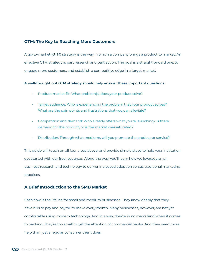# <span id="page-2-0"></span>**GTM: The Key to Reaching More Customers**

A go-to-market (GTM) strategy is the way in which a company brings a product to market. An effective GTM strategy is part research and part action. The goal is a straightforward one: to engage more customers, and establish a competitive edge in a target market.

#### **A well-thought out GTM strategy should help answer these important questions:**

- Product-market fit: What problem(s) does your product solve?
- Target audience: Who is experiencing the problem that your product solves? What are the pain points and frustrations that you can alleviate?
- Competition and demand: Who already offers what you're launching? Is there demand for the product, or is the market oversaturated?
- Distribution: Through what mediums will you promote the product or service?

This guide will touch on all four areas above, and provide simple steps to help your institution get started with our free resources. Along the way, you'll learn how we leverage small business research and technology to deliver increased adoption versus traditional marketing practices.

# **A Brief Introduction to the SMB Market**

Cash flow is the lifeline for small and medium businesses. They know deeply that they have bills to pay and payroll to make every month. Many businesses, however, are not yet comfortable using modern technology. And in a way, they're in no man's land when it comes to banking. They're too small to get the attention of commercial banks. And they need more help than just a regular consumer client does.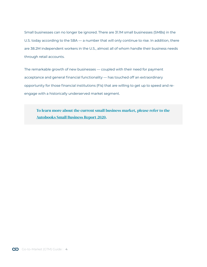Small businesses can no longer be ignored. There are 31.1M small businesses (SMBs) in the U.S. today according to the SBA — a number that will only continue to rise. In addition, there are 38.2M independent workers in the U.S., almost all of whom handle their business needs through retail accounts.

The remarkable growth of new businesses — coupled with their need for payment acceptance and general financial functionality — has touched off an extraordinary opportunity for those financial institutions (FIs) that are willing to get up to speed and reengage with a historically underserved market segment.

To learn more about the current small business market, please refer to the [Autobooks Small Business Report 2020.](https://content.autobooks.co/hubfs/Banno%20GTM%20Guide%20Assets/autobooks%20small%20business%20report%20ebook%202020.pdf)

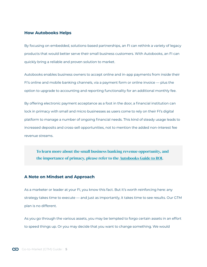#### <span id="page-4-0"></span>**How Autobooks Helps**

By focusing on embedded, solutions-based partnerships, an FI can rethink a variety of legacy products that would better serve their small business customers. With Autobooks, an FI can quickly bring a reliable and proven solution to market.

Autobooks enables business owners to accept online and in-app payments from inside their FI's online and mobile banking channels, via a payment form or online invoice — plus the option to upgrade to accounting and reporting functionality for an additional monthly fee.

By offering electronic payment acceptance as a foot in the door, a financial institution can lock in primacy with small and micro businesses as users come to rely on their FI's digital platform to manage a number of ongoing financial needs. This kind of steady usage leads to increased deposits and cross-sell opportunities, not to mention the added non-interest fee revenue streams.

To learn more about the small business banking revenue opportunity, and the importance of primacy, please refer to the [Autobooks Guide to ROI.](https://content.autobooks.co/hubfs/Banno%20GTM%20Guide%20Assets/Autobooks%20Guide%20to%20ROI.pdf)

#### **A Note on Mindset and Approach**

As a marketer or leader at your FI, you know this fact. But it's worth reinforcing here: any strategy takes time to execute — and just as importantly, it takes time to see results. Our GTM plan is no different.

As you go through the various assets, you may be tempted to forgo certain assets in an effort to speed things up. Or you may decide that you want to change something. We would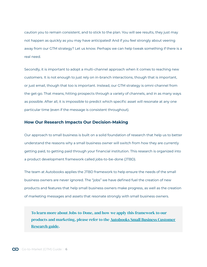<span id="page-5-0"></span>caution you to remain consistent, and to stick to the plan. You will see results, they just may not happen as quickly as you may have anticipated! And if you feel strongly about veering away from our GTM strategy? Let us know. Perhaps we can help tweak something if there is a real need.

Secondly, it is important to adopt a multi-channel approach when it comes to reaching new customers. It is not enough to just rely on in-branch interactions, though that is important, or just email, though that too is important. Instead, our GTM strategy is omni-channel from the get-go. That means, hitting prospects through a variety of channels, and in as many ways as possible. After all, it is impossible to predict which specific asset will resonate at any one particular time (even if the message is consistent throughout).

## **How Our Research Impacts Our Decision-Making**

Our approach to small business is built on a solid foundation of research that help us to better understand the reasons why a small business owner will switch from how they are currently getting paid, to getting paid through your financial institution. This research is organized into a product development framework called jobs-to-be-done (JTBD).

The team at Autobooks applies the JTBD framework to help ensure the needs of the small business owners are never ignored. The "jobs" we have defined fuel the creation of new products and features that help small business owners make progress, as well as the creation of marketing messages and assets that resonate strongly with small business owners.

To learn more about Jobs-to-Done, and how we apply this framework to our products and marketing, please refer to the [Autobooks Small Business Customer](https://content.autobooks.co/hubfs/Banno%20GTM%20Guide%20Assets/AB%20-%20Small%20Business%20Customer%20Research%20(JTBD).pdf)  [Research guide.](https://content.autobooks.co/hubfs/Banno%20GTM%20Guide%20Assets/AB%20-%20Small%20Business%20Customer%20Research%20(JTBD).pdf)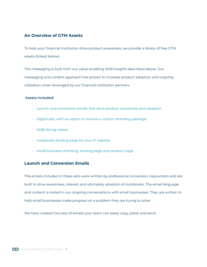# <span id="page-6-0"></span>**An Overview of GTM Assets**

To help your financial institution drive product awareness, we provide a library of free GTM assets (linked below).

The messaging is built from our value-enabling SMB insights described above. Our messaging and content approach has proven to increase product adoption and ongoing utilization when leveraged by our financial institution partners.

#### **Assets included:**

- Launch and conversion emails that drive product awareness and adoption
- [Digital ads, with an option to receive a custom branding package](#page-7-0)
- [SMB-facing videos](#page-8-0)
- [Autobooks landing page for your FI website](#page-9-0)
- [Small business checking, landing page and product page](#page-9-0)

# **Launch and Conversion Emails**

The emails included in these sets were written by professional conversion copywriters and are built to drive awareness, interest and ultimately adoption of Autobooks. The email language and content is rooted in our ongoing conversations with small businesses. They are written to help small businesses make progress on a problem they are trying to solve.

We have created two sets of emails your team can easily copy, paste and send.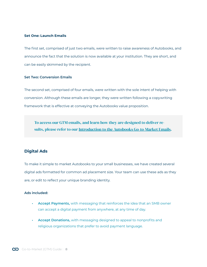#### <span id="page-7-0"></span>**Set One: Launch Emails**

The first set, comprised of just two emails, were written to raise awareness of Autobooks, and announce the fact that the solution is now available at your institution. They are short, and can be easily skimmed by the recipient.

#### **Set Two: Conversion Emails**

The second set, comprised of four emails, were written with the sole intent of helping with conversion. Although these emails are longer, they were written following a copywriting framework that is effective at conveying the Autobooks value proposition.

To access our GTM emails, and learn how they are designed to deliver results, please refer to our Introduction to the [Autobooks Go-to-Market Emails.](https://content.autobooks.co/hubfs/Partner%20Microsites/JHA%20Banno%20Microsite/Files%20for%20Download/Intro%20to%20Autobooks%20Launch%20Emails%20_Banno.pdf?hsLang=en-us)

# **Digital Ads**

To make it simple to market Autobooks to your small businesses, we have created several digital ads formatted for common ad placement size. Your team can use these ads as they are, or edit to reflect your unique branding identity.

#### **Ads included:**

- **• Accept Payments,** with messaging that reinforces the idea that an SMB owner can accept a digital payment from anywhere, at any time of day.
- **• Accept Donations,** with messaging designed to appeal to nonprofits and religious organizations that prefer to avoid payment language.

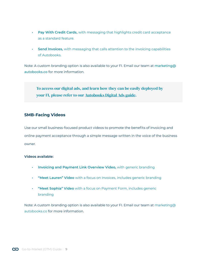- <span id="page-8-0"></span>**• Pay With Credit Cards,** with messaging that highlights credit card acceptance as a standard feature.
- **• Send Invoices,** with messaging that calls attention to the invoicing capabilities of Autobooks.

Note: A custom branding option is also available to your FI. Email our team at [marketing@](mailto:marketing%40autobooks.co?subject=) [autobooks.co](mailto:marketing%40autobooks.co?subject=) for more information.

To access our digital ads, and learn how they can be easily deployed by your FI, please refer to our [Autobooks Digital Ads guide.](https://content.autobooks.co/hubfs/Banno%20GTM%20Guide%20Assets/AB%20Digital%20Ad%20Doc.pdf)

# **SMB-Facing Videos**

Use our small business-focused product videos to promote the benefits of invoicing and online payment acceptance through a simple message written in the voice of the business owner.

#### **Videos available:**

- **• [Invoicing and Payment Link Overview Video](https://content.autobooks.co/hubfs/Partner%20Microsites/JHA%20Banno%20Microsite/Launch%20Resources/Invoicing_with_Autobooks.mp4?hsLang=en-us),** with generic branding
- **• ["Meet Lauren" Video](https://content.autobooks.co/hubfs/Partner%20Microsites/JHA%20Banno%20Microsite/Launch%20Resources/Invoice%20Video%20-%20Final%20Cut%20(1).mp4?hsLang=en-us)** with a focus on Invoices, includes generic branding
- **• ["Meet Sophia" Video](https://content.autobooks.co/hubfs/Partner%20Microsites/JHA%20Banno%20Microsite/Launch%20Resources/Payment%20Form%20with%20Autobooks%20-%20Cartoon.mp4?hsLang=en-us)** with a focus on Payment Form, includes generic branding

Note: A custom branding option is also available to your FI. Email our team at [marketing@](mailto:marketing%40autobooks.co?subject=) [autobooks.co](mailto:marketing%40autobooks.co?subject=) for more information.